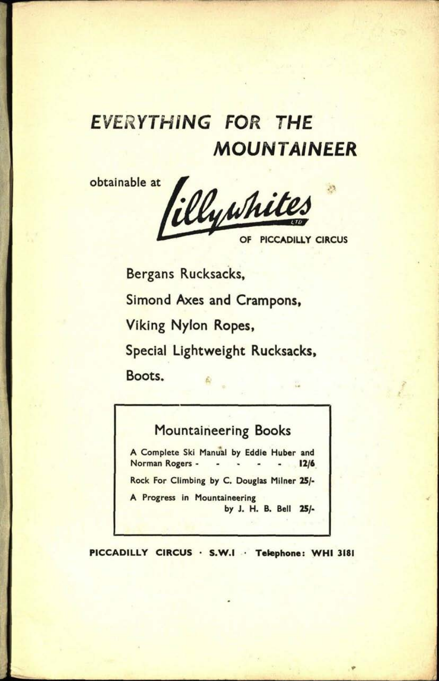## EVERYTHING FOR THE MOUNTAINEER

obtainable at filly whites **OF PICCADILLY CIRCUS**

Bergans Rucksacks, Simond Axes and Crampons, Viking Nylon Ropes, Special Lightweight Rucksacks, Boots.

#### Mountaineering Books

A Complete Ski Manual by Eddie Huber and Norman Rogers - - - - 12/6 Rock For Climbing by C. Douglas Milner 25/- A Progress in Mountaineering by J. H. B. Bell 25/-

**PICCADILLY CIRCUS S.W.I Telephone: WHI 3181**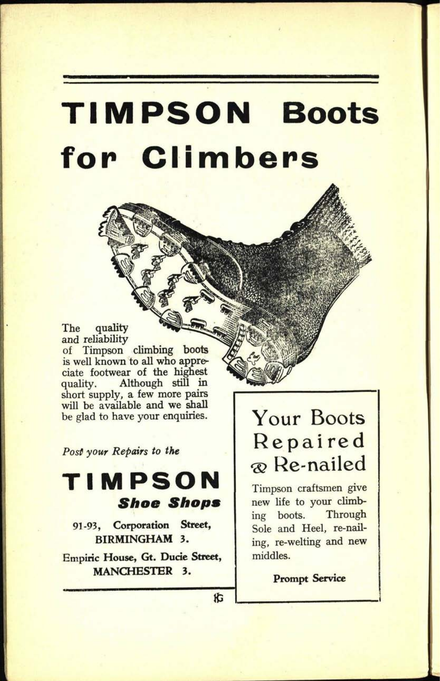## **TIMPSON Boots for Climbers**

#### The quality and reliability of Timpson climbing boots is well known to all who appreciate footwear of the highest quality. Although still in

short supply, a few more pairs will be available and we shall be glad to have your enquiries.

*Post your Repairs to the*

## **TIMPSON Shoe Shops**

91-93, **Corporation Street, BIRMINGHAM 3.**

Empiric **House, Gt. Ducie Street, MANCHESTER 3.**

## Your Boots Repaired Re-nailed

Timpson craftsmen give new life to your climbing boots. Through Sole and Heel, re-nailing, re-welting and new middles.

**Prompt Service**

**iG**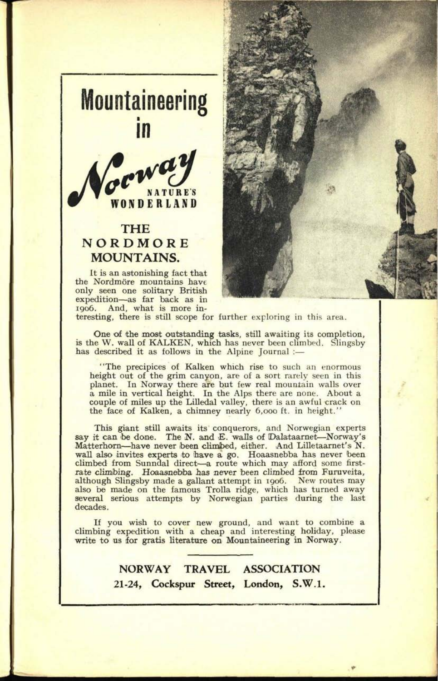

#### **THE NORDMORE MOUNTAINS.**

It is an astonishing fact that the Nordmöre mountains have only seen one solitary British expedition—as far back as in<br>1906. And, what is more in-



teresting, there is still scope for further exploring in this area.

One of the most outstanding tasks, still awaiting its completion, is the W. wall of KALKEN, which has never been climbed. Slingsby has described it as follows in the Alpine Journal :-

"The precipices of Kalken which rise to such an enormous height out of the grim canyon, are of a sort rarely seen in this <sup>p</sup>lanet. In Norway there are but few real mountain walls over <sup>a</sup>mile in vertical height. In the Alps there are none. About <sup>a</sup> couple of miles up the Lilledal valley, there is an awful crack on the face of Kalken, a chimney nearly 6,000 ft. in height."

This giant still awaits its conquerors, and Norwegian experts say it can be done. The N. and E. walls of Dalataarnet-Norway's Matterhorn-have never been climbed, either. And Lilletaarnet's N. wall also invites experts to have a go, Hoaasnebba has never been climbed from Sunndal direct-a route which may afford some firstrate climbing. Hoaasnebba has never been climbed from Furuveita, although Slingsby made a gallant attempt in 1906. New routes may also be made on the famous Trolla ridge, which has turned away several serious attempts by Norwegian parties during the last decades.

If you wish to cover new ground, and want to combine <sup>a</sup> climbing expedition with a cheap and interesting holiday, please write to us for gratis literature on Mountaineering in Norway.

> **NORWAY TRAVEL ASSOCIATION 21-24, Cockspur Street, London, S.W.I.**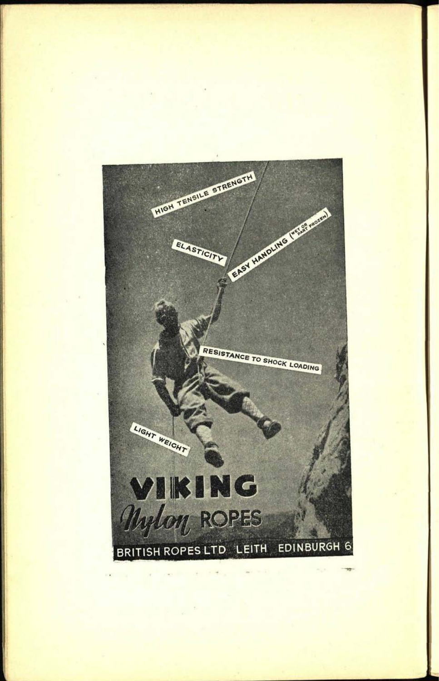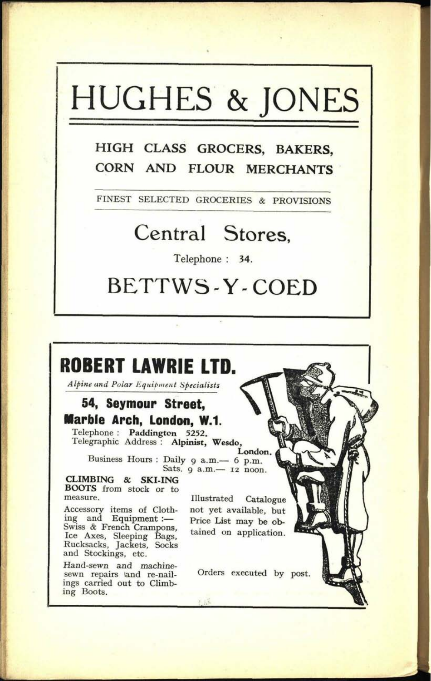# HUGHES & JONES

### **HIGH CLASS GROCERS, BAKERS, CORN AND FLOUR MERCHANTS**

FINEST SELECTED GROCERIES *&* PROVISIONS

## Central Stores,

Telephone : 34.

## BETTWS-Y-COED

### **ROBERT LAWRIE LTD.**

*Alpine and Polar Equipment Specialists*

### **54, Seymour Street, Marble Arch, London, W.1.**

Telephone : **Paddington 5252.**  Telegraphic Address : **Alpinist, Wesdo, London.**

Business Hours : Daily 9 a.m.- 6 p.m. Sats. 9 a.m.- 12 noon.

**CLIMBING & SKI-ING BOOTS** from stock or to measure.

Accessory items of Clothing and Equipment : Swiss & French Crampons, Ice Axes, Sleeping Bags, Rucksacks, Jackets, Socks and Stockings, etc.

Hand-sewn and machinesewn repairs (and re-nailings carried out to Climbing Boots.

Illustrated Catalogue not yet available, but Price List may be obtained on application.

Orders executed by post.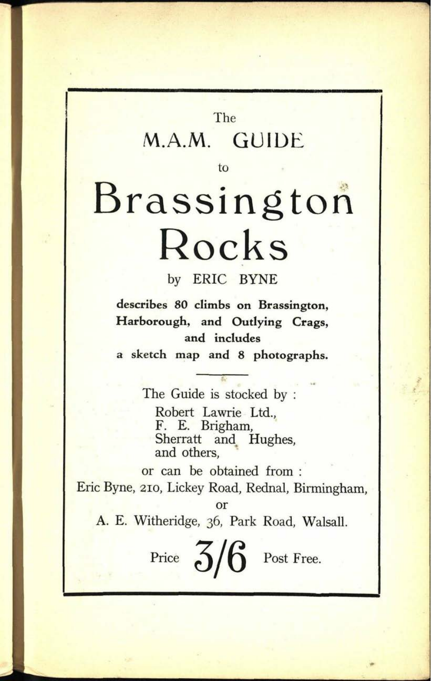## The M.A.M. GUIDE

to

**93. 0243**

# Brassington Rocks

by ERIC BYNE

**describes 80 climbs on Brassington, Harborough, and Outlying Crags, and includes <sup>a</sup>sketch map and 8 photographs.**

The Guide is stocked by : Robert Lawrie Ltd., F. E, Brigham, Sherratt and Hughes, and others,

or can be obtained from : Eric Byne, 210, Lickey Road, Rednal, Birmingham, or

A. E. Witheridge, 36, Park Road, Walsall.

Price  $5/6$  Post Free.